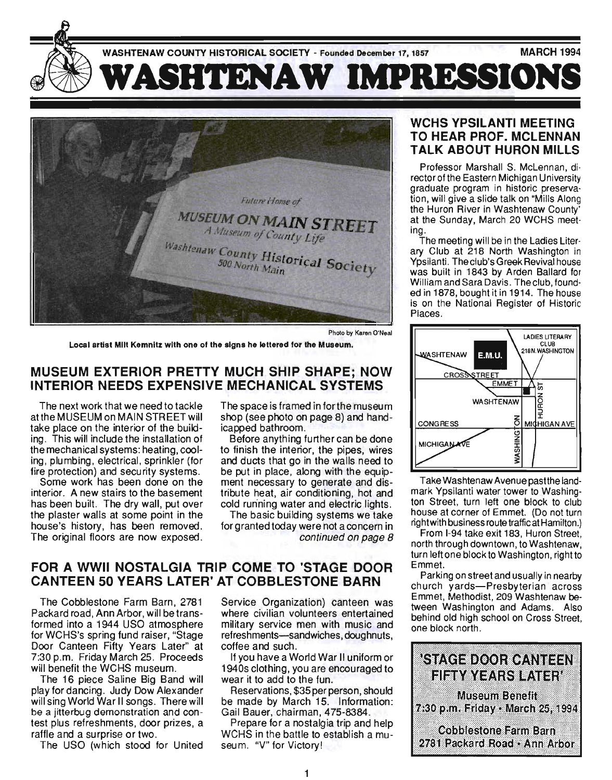



Photo by Karen O'Neal

Local artist Milt Kemnitz with one of the signs he lettered for the Museum.

# MUSEUM EXTERIOR PRETTY MUCH SHIP SHAPE; NOW INTERIOR NEEDS EXPENSIVE MECHANICAL SYSTEMS

The next work that we need to tackle atthe MUSEUM on MAIN STREET will take place on the interior of the building, This will include the installation of the mechanical systems: heating, cooling, plumbing, electrical, sprinkler (for fire protection) and security systems,

Some work has been done on the interior. A new stairs to the basement has been built. The dry wall, put over the plaster walls at some point in the house's history, has been removed. The original floors are now exposed. The space is framed in forthe museum shop (see photo on page 8) and handicapped bathroom.

Before anything further can be done to finish the interior, the pipes, wires and ducts that go in the walls need to be put in place, along with the equipment necessary to generate and distribute heat, air conditioning, hot and cold run'ning water and electric lights.

The basic building systems we take for granted today were not a concern in continued on page 8

# FOR A WWII NOSTALGIA TRIP COME TO 'STAGE DOOR CANTEEN 50 YEARS LATER' AT COBBLESTONE BARN

The Cobblestone Farm Barn, 2781 Packard road, Ann Arbor, will be transformed into a 1944 USO atmosphere for WCHS's spring fund raiser, "Stage Door Canteen Fifty Years Later" at 7:30 p.m. Friday March 25. Proceeds will benefit the WCHS museum.

The 16 piece Saline Big Band will play for dancing. Judy Dow Alexander will sing World War II songs. There will be a jitterbug demonstration and contest plus refreshments, door prizes, a raffle and a surprise or two,

The USO (which stood for United

Service Organization) canteen was where civilian volunteers entertained military service men with music and refreshments-sandwiches, doughnuts, coffee and such.

If you have a World War II uniform or 1940s clothing, you are encouraged to wear it to add to the fun.

Reservations, \$35 per person, should be made by March 15. Information: Gail Bauer, chairman , 475-8384,

Prepare for a nostalgia trip and help WCHS in the battle to establish a museum. "V" for Victory!

# WCHS YPSILANTI MEETING TO HEAR PROF. MCLENNAN TALK ABOUT HURON MILLS

Professor Marshall S. McLennan, di· rector of the Eastern Michigan University graduate program in historic preservation, will give a slide talk on "Mills Along the Huron River in Washtenaw County' at the Sunday, March 20 WCHS meeting.

ing.<br>The meeting will be in the Ladies Literary Club at 218 North Washington in Ypsilanti. Theclub's Greek Revival house was built in 1843 by Arden Ballard for William and Sara Davis. Theclub, founded in 1878, bought it in 1914. The house is on the National Register of Historic Places.



Take Washtenaw Avenue pastthe landmark Ypsilanti water tower to Washington Street, turn left one block to club house at corner of Emmet. (Do not turn right with business route traffic at Hamilton.)

From 1-94 take exit 183, Huron Street, north through downtown, to Washtenaw, turn left one block to Washington, right to Emmet.

Parking on street and usually in nearby church yards-Presbyterian across Emmet, Methodist, 209 Washtenaw between Washington and Adams. Also behind old high school on Cross Street, one block north.

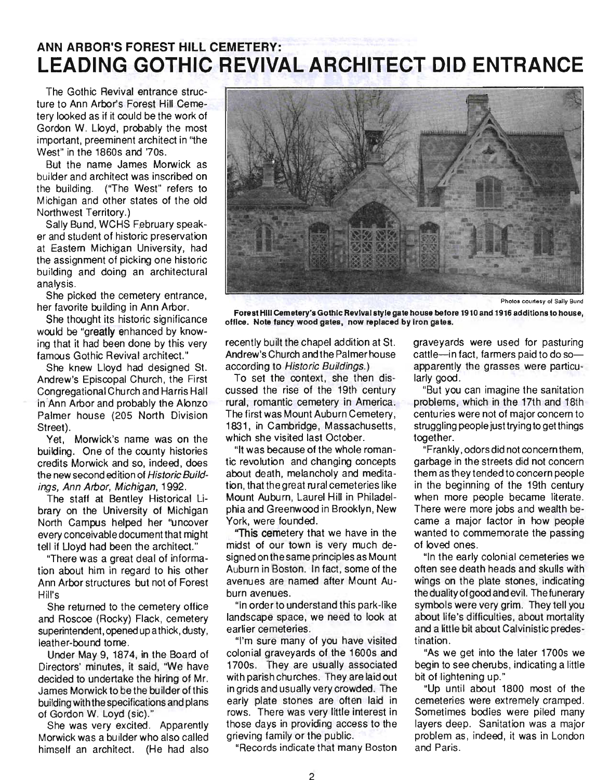# **ANN ARBOR'S FOREST HILL CEMETERY: LEADING GOTHIC REVIVAL ARCHITECT DID ENTRANCE**

The Gothic Revival entrance structure to Ann Arbor's Forest Hill Cemetery looked as if it could be the work of Gordon W. Lloyd, probably the most important, preeminent architect in ''the West" in the 1860s and '70s.

But the name James Morwick as builder and architect was inscribed on the building. ("The West" refers to Michigan and other states of the old Northwest Territory.)

Sally Bund, WCHS February speaker and student of historic preservation at Eastern Michigan University, had the assignment of picking one historic building and dOing an architectural analysis.

She picked the cemetery entrance, her favorite building in Ann Arbor.

She thought its historic significance would be "greatly enhanced by knowing that it had been done by this very famous Gothic Revival architect."

She knew Lloyd had designed S1. Andrew's Episcopal Church, the First Congregational Church and Harris Hall in 'Ann Arbor and probably the Alonzo Palmer house (205 North Division Street).

Yet, Morwick's name was on the building. One of the county histories credits Morwick and so, indeed, does the new second edition of Historic Buildings, Ann Arbor, Michigan, 1992.

The staff at Bentley Historical library on the University of Michigan North Campus helped her ''uncover every conceivable document that might tell if Lloyd had been the architect."

"There was a great deal of information about him in regard to his other Ann Arbor structures but not of Forest Hill's

She returned to the cemetery office and Roscoe (Rocky) Flack, cemetery superintendent, opened up a thick, dusty, leather-bound tome.

Under May 9, 1874, in the Board of Directors' minutes, it said, "We have decided to undertake the hiring of Mr. James Morwick to be the builder of this building with the specifications and plans of Gordon W. Loyd (sic)."

She was very excited. Apparently Morwick was a builder who also called himself an architect. (He had also



Photos courtesy of Sally Bund

Forest Hili Cemetery's Gothic Revival style gate house before 1910 and 1916 additions to house, office. Note fancy wood gates, now replaced by Iron gates.

recently built the chapel addition at St. Andrew's Church andthe Palmer house according to Historic Buildings.)

To set the context, she then discussed the rise of the 19th century rural, romantic cemetery in America. The first was Mount Auburn Cemetery, 1831, in Cambridge, Massachusetts, which she visited last October.

"It was because of the whole romantic revolution and changing concepts about death, melancholy and meditation, that the great rural cemeteries like Mount Auburn, Laurel Hill in Philadelphia and Greenwood in Brooklyn, New York, were founded.

"This cemetery that we have in the midst of our town is very much designed on the same principles as Mount Auburn in Boston. In fact, some of the avenues are named after Mount Au burn avenues.

"In order to understand this park-like landscape space, we need to look at earlier cemeteries .

"I'm sure many of you have visited colonial graveyards of the 1600s and 1700s. They are usually associated with parish churches. They are laid out in grids and usually very crowded. The early plate stones are often laid in rows. There was very little interest in those days in providing access to the grieving family or the public.

"Records indicate that many Boston

graveyards were used for pasturing cattle-in fact, farmers paid to do soapparently the grasses were particularly good.

"But you can imagine the sanitation problems, which in the 17th and 18th centuries were not of major concern to struggling people just trying to get things together.

"Frankly, odors did not concern them, garbage in the streets did not concern them as they tended to concern people in the beginning of the 19th century when more people became literate. There were more jobs and wealth became a major factor in how people wanted to commemorate the passing of loved ones.

"In the early colonial cemeteries we often see death heads and skulls with wings on the plate stones, indicating the duality of good and evil. The funerary symbols were very grim. They tell you about life's difficulties, about mortality and a little bit about Calvinistic predestination.

"As we get into the later 1700s we begin to see cherubs, indicating a little bit of lightening up."

"Up until about 1800 most of the cemeteries were extremely cramped. Sometimes bodies were piled many layers deep. Sanitation was a major problem as, indeed, it was in London and Paris.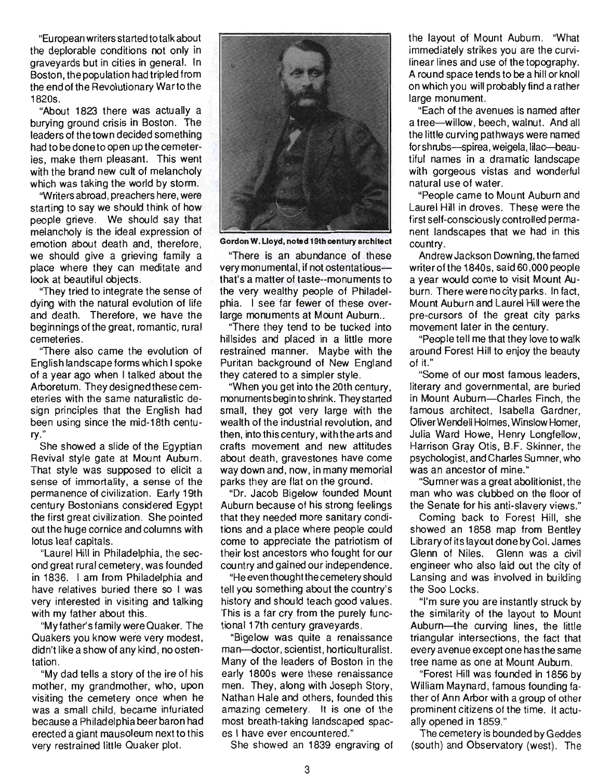"Eu ropean writers started to talk about  $t$  european will ensured to talk about the deplorable conditions not only in graveyards but in cities in general. In Boston, the population had tripled from the end of the Revolutionary War to the<br>1820s. 05.<br>'About 1822 there was actually actually actually actually actually actually actually actually actually actually

About 1625 there was actually a burving ground crisis in Boston. The leaders of the town decided something had to be done to open up the cemeteries, make them pleasant. This went with the brand new cult of melancholy which was taking the world by storm.

"Writers abroad, preachers here, were starting to say we should think of how people grieve. We should say that melancholy is the ideal expression of emotion about death and, therefore, we should give a grieving family a place where they can meditate and look at beautiful objects.

"They tried to integrate the sense of dving with the natural evolution of life and death. Therefore, we have the beginnings of the great, romantic, rural<br>cemeteries. etenes.<br>"There are also came the evolution of the evolution of the evolution of the evolution of the evolution of the

There also came the evolution of English landscape forms which I spoke of a year ago when I talked about the Arboretum. They designed these cemeteries with the same naturalistic design principles that the English had been using since the mid-18th centu-<br>ry." She showed a slide of the Egyptian

She showed a slide of the Egyptian. Revival style gate at Mount Auburn. That style was supposed to elicit a sense of immortality, a sense of the permanence of civilization. Early 19th century Bostonians considered Eqypt the first great civilization. She pointed out the huge cornice and columns with<br>lotus leaf capitals. s real capitals.<br>The second the second in the second second second second second second second second second second second seco

Laurel mill in Frinadelphia, the second great rural cemetery, was founded in 1836. I am from Philadelphia and have relatives buried there so I was very interested in visiting and talking<br>with my father about this.  $\frac{1}{2}$  my father about this.

My famer's family were Quaker. The Quakers you know were very modest, didn't like a show of any kind, no osten-<br>tation. "My dad tells a story of the ire of his

 $\frac{m}{2}$  my gad tens a story of the ne of his mother, my grandmother, who, upon visiting the cemetery once when he was a small child, became infuriated because a Philadelphia beer baron had erected a giant mausoleum next to this<br>very restrained little Quaker plot.



Gordon w. Lloyd, noted 19th century architect

"There is a provided to the contrary distinction There is an abundance of these very monumental, if not ostentatious-that's a matter of taste--monuments to the very wealthy people of Philadelphia. I see far fewer of these overlarge monuments at Mount Auburn..

"There they tend to be tucked into hillsides and placed in a little more restrained manner. Maybe with the Puritan background of New England they catered to a simpler style.

"When you get into the 20th century. monuments begin to shrink. They started small, they got very large with the wealth of the industrial revolution, and then, into this century, with the arts and crafts movement and new attitudes about death, gravestones have come way down and, now, in many memorial parks they are flat on the ground.

"Dr. Jacob Bigelow founded Mount Auburn because of his strong feelings that they needed more sanitary conditions and a place where people could come to appreciate the patriotism of their lost ancestors who fought for our country and gained our independence.

"He even thought the cemetery should tell you something about the country's history and should teach good values. This is a far cry from the purely functional 17th century graveyards.

"Bigelow was quite a renaissance man-doctor, scientist, horticulturalist. Many of the leaders of Boston in the early 1800s were these renaissance men. They, along with Joseph Story, Nathan Hale and others, founded this amazing cemetery. It is one of the most breath-taking landscaped spac-

es I have ever encountered."<br>She showed an 1839 engraving of

the layout of Mount Auburn. "What  $\epsilon$  rayout of wount Aubum. Write immediately strikes you are the curvilinear lines and use of the topography. A round space tends to be a hill or knoll on which you will probably find a rather<br>large monument. e monument.<br>Each of the area is named after the afternoon of the afternoon afternoon afternoon afternoon afternoon afternoo

"Each of the avenues is named after<br>. a tree-willow, beech, walnut. And all the little curving pathways were named for shrubs-spirea, weigela, lilac-beautiful names in a dramatic landscape with gorgeous vistas and wonderful<br>natural use of water.

"People came to Mount Auburn and People Came to Mount Auburn and first  $\alpha$  is self-controlled permanent permanent permanent permanent permanent permanent permanent permanent permafirst self-consciously controlled permanent landscapes that we had in this country.  $\frac{A}{\sqrt{2}}$ 

Andrew Jackson Downing, the lamed writer of the 1840s, said  $60.000$  people a year would come to visit Mount Auburn. There were no city parks. In fact, Mount Auburn and Laurel Hill were the pre-cursors of the great city parks<br>movement later in the century. ement tater in the century.

Feople ten me that they love to walk around Forest Hill to enjoy the beauty<br>of it." "Some of our most famous leaders,

some of our most famous leaders, literary and governmental, are buried in Mount Auburn-Charles Finch, the famous architect. Isabella Gardner, Oliver Wendell Holmes, Winslow Homer, Julia Ward Howe, Henry Longfellow, Harrison Gray Otis, B.F. Skinner, the psychologist, and Charles Sumner, who<br>was an ancestor of mine." an ancestor of mine.  $\mathbb{R}^n$ 

 $\sim$  summer was a great abolitionist, the  $\sim$ man who was clubbed on the floor of the Senate for his anti-slavery views."

Coming back to Forest Hill, she showed an 1858 map from Bentley Library of its layout done by Col. James Glenn of Niles. Glenn was a civil engineer who also laid out the city of Lansing and was involved in building<br>the Soo Locks.  $\mathcal{S}$ UU LUCKS.

**the sure you are instantly struck by** the similarity of the layout to Mount Auburn-the curving lines, the little triangular intersections, the fact that every avenue except one has the same tree name as one at Mount Auburn.

"Forest Hill was founded in 1856 by William Maynard, famous founding father of Ann Arbor with a group of other prominent citizens of the time. It actually opened in 1859." obelied in 1999.

The cemetery is bounded by Geddes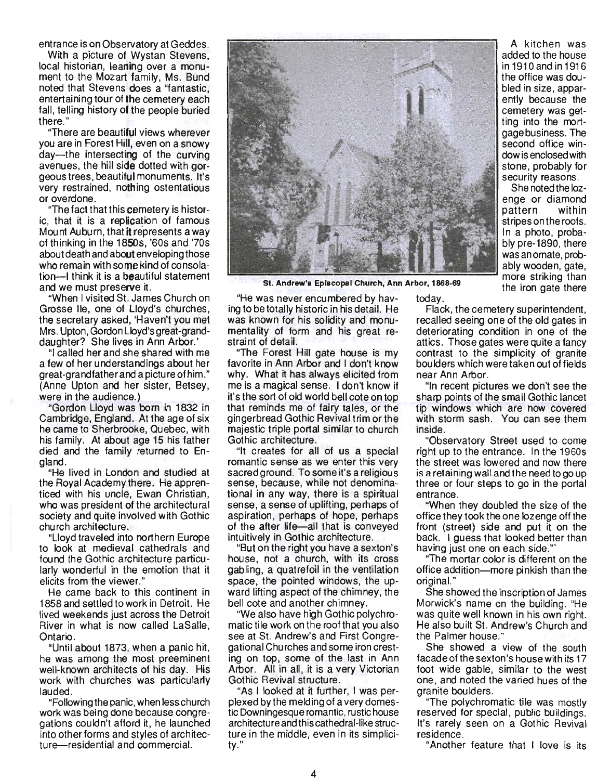entrance is on Observatory at Geddes.

With a picture of Wystan Stevens, local historian, leaning over a monument to the Mozart family, Ms. Bund noted that Stevens does a "fantastic, entertaining tour of the cemetery each fall, telling history of the people buried there."

"There are beautiful views wherever you are in Forest Hill, even on a snowy day-the intersecting of the curving avenues, the hill side dotted with gorgeous trees, beautiful monuments. It's very restrained, nothing ostentatious or overdone.

"The fact that this cemetery is historic, that it is a replication of famous Mount Auburn, that it represents a way of thinking in the 1850s, '60s and '7Os about death and about enveloping those who remain with some kind of consolation-I think it is a beautiful statement and we must preserve it.

"When I visited St. James Church on Grosse lie, one of Lloyd's churches, the secretary asked, 'Haven't you met Mrs. Upton, Gordon Lloyd's great-granddaughter? She lives in Ann Arbor.'

"I called her and she shared with me a few of her understandings about her great-grandfather and a picture of him." (Anne Upton and her sister, Betsey, were in the audience.)

"Gordon Lloyd was born in 1832 in Cambridge, England. At the age of six he came to Sherbrooke, Quebec, with his family. At about age 15 his father died and the family returned to England.

"He lived in London and studied at the Royal Academy there. He apprenticed with his uncle, Ewan Christian, who was president of the architectural society and quite involved with Gothic church architecture.

"Lloyd traveled into northern Europe to look at medieval cathedrals and found the Gothic architecture particularly wonderful in the emotion that it elicits from the viewer."

He came back to this continent in 1858 and settled to work in Detroit. He lived weekends just across the Detroit River in what is now called LaSalle, Ontario.

"Until about 1873, when a panic hit, he was among the most preeminent well-known architects of his day. His work with churches was particularly lauded.

"Following the panic, when less church work was being done because congregations couldn't afford it, he launched into other forms and styles of architecture-residential and commercial.



St. Andrew's Episcopal Church, Ann Arbor, 1868-69

"He was never encumbered by having to be totally historic in his detail. He was known for his solidity and monutoday.

mentality of form and his great restraint of detail. "The Forest Hill gate house is my favorite in Ann Arbor and I don't know why. What it has always elicited from me is a magical sense. I don't know if it's the sort of old world bell cote on top that reminds me of fairy tales, or the gingerbread Gothic Revival trim or the majestic triple portal similar to church Gothic architecture.

"It creates for all of us a special romantic sense as we enter this very sacred ground. To some it's a religious sense, because, while not denominational in any way, there is a spiritual sense, a sense of uplifting, perhaps of aspiration, perhaps of hope, perhaps of the after life-all that is conveyed intuitively in Gothic architecture.

"But on the right you have a sexton's house, not a church, with its cross gabling, a quatrefoil in the ventilation space, the pointed windows, the upward lifting aspect of the chimney, the bell cote and another chimney.

"We also have high Gothic polychromatic tile work on the roof that you also see at St. Andrew's and First Congregational Churches and some iron cresting on top, some of the last in Ann Arbor. All in all, it is a very Victorian Gothic Revival structure.

"As I looked at it further, I was perplexed by the melding of a very domestic Downingesque romantic, rustic house architecture and this cathedral-like structure in the middle, even in its simplicity."

A kitchen was added to the house in1910andin1916 the office was doubled in size, apparently because the cemetery was getting into the mortgage business. The second office window is enclosed with stone, probably for security reasons.

She noted the lozenge or diamond pattern within stripes on the roofs. In a photo, probably pre-1890, there was an ornate, probably wooden, gate, more striking than the iron gate there

Flack, the cemetery superintendent,

recalled seeing one of the old gates in deteriorating condition in one of the attics. Those gates were quite a fancy contrast to the simplicity of granite bou Iders which were taken out of fields near Ann Arbor.

"In recent pictures we don't see the sharp points of the small Gothic lancet tip windows which are now covered with storm sash. You can see them inside.

"Observatory Street used to come right up to the entrance. In the 1960s the street was lowered and now there is a retaining wall and the need to go up three or four steps to go in the portal entrance.

"When they doubled the size of the office they took the one lozenge off the front (street) side and put it on the back. I guess that looked better than having just one on each side.'"

"The mortar color is different on the office addition-more pinkish than the original."

She showed the inscription of James Morwick's name on the building. "He was quite well known in his own right. He also built St. Andrew's Church and the Palmer house."

She showed a view of the south facade of the sexton's house with its 17 foot wide gable, similar to the west one, and noted the varied hues of the granite boulders.

"The polychromatic tile was mostly reserved for special, public buildings. It's rarely seen on a Gothic Revival residence .

"Another feature that I love is its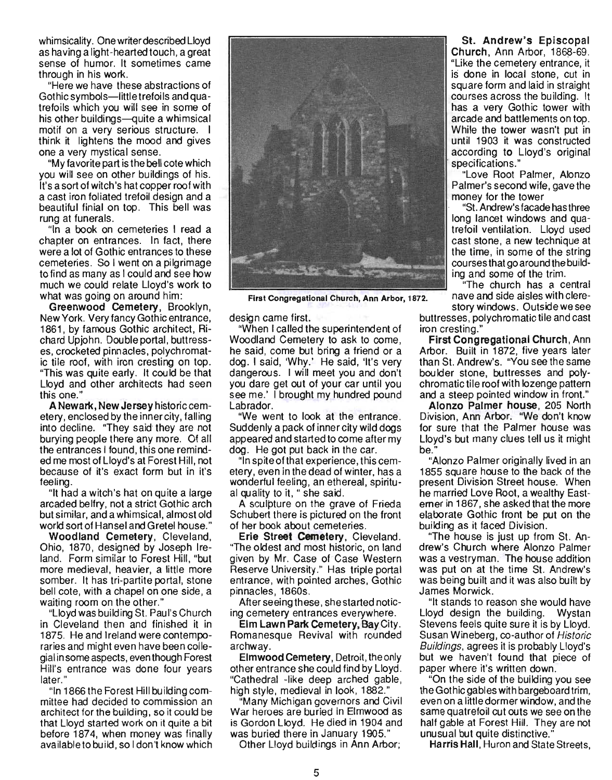whimsicality. One writer described Lloyd as having a light-hearted touch, a great sense of humor. It sometimes came through in his work.

"Here we have these abstractions of Gothic symbols-little trefoils and quatrefoils which you will see in some of his other buildings-quite a whimsical motif on a very serious structure. I think it lightens the mood and gives one a very mystical sense.

"My favorite part is the bell cote which you will see on other buildings of his. It's a sort of witch's hat copper roof with a cast iron foliated trefoil design and a beautiful finial on top. This bell was rung at funerals.

"In a book on cemeteries I read a chapter on entrances. In fact, there were a lot of Gothic entrances to these cemeteries. So I went on a pilgrimage to find as many as I could and see how much we could relate Lloyd's work to what was going on around him:

Greenwood Cemetery, Brooklyn, New York. Very fancy Gothic entrance, 1861, by famous Gothic architect, Richard Upjohn. Double portal, buttresses, crocketed pinnacles, polychromatic tile roof, with iron cresting on top. "This was quite early. It could be that Lloyd and other architects had seen this one."

A Newark, New Jersey historic cemetery, enclosed by the inner city, falling into decline. "They said' they are not burying people there any more. Of all the entrances I found, this one reminded me most of Lloyd's at Forest Hill, not because of it's exact form but in it's feeling.

"It had a witch's hat on quite a large arcaded belfry, not a strict Gothic arch but similar, and a whimsical, almost old world sort of Hansel and Gretel house."

Woodland Cemetery, Cleveland, Ohio, 1870, designed by Joseph Ireland. Form similar to Forest Hill, "but more medieval, heavier, a little more somber. It has tri-partite portal, stone bell cote, with a chapel on one side, a waiting room on the other."

"Lloyd was building St. Paul's Church in Cleveland then and finished it in 1875. He and Ireland were contemporaries and might even have been collegial in some aspects, even though Forest Ail's entrance was done four vears im o ontranco mao con.<br>ater " later."<br>"In 1866 the Forest Hill building com-

mittee had decided to commission an architect for the building, so it could be that Lloyd started work on it quite a bit before 1874, when money was finally available to build, so I don't know which



First Congregational Church, Ann Arbor, 1872.

design came first.

"When I called the superintendent of Woodland Cemetery to ask to come, he said, come but bring a friend or a dog. I said, 'Why.' He said, 'It's very dangerous. I will meet you and don't you dare get out of your car until you see me.' I brought my hundred pound Labrador.

"We went to look at the entrance. Suddenly a pack of inner city wild dogs appeared and started to come after my dog. He got put back in the car.

"In spite of that experience, this cemetery, even in the dead of winter, has a wonderful feeling, an ethereal, spiritual quality to it, " she said.

A sculpture on the grave of Frieda Schubert there is pictured on the front of her book about cemeteries.

Erie Street Cemetery, Cleveland. "The oldest and most historic, on land given by Mr. Case of Case Western Reserve University." Has triple portal entrance, with pointed arches, Gothic pinnacles, 1860s.

After seeing these, she started noticing cemetery entrances everywhere.

Elm Lawn Park Cemetery, Bay City. Romanesque Revival with rounded archway.

Elmwood Cemetery, Detroit, the only other entrance she could find by Lloyd. "Cathedral -like deep arched gable, high style, medieval in look, 1882."

"Many Michigan governors and Civil War heroes are buried in Elmwood as is Gordon Lloyd. He died in 1904 and was buried there in January 1905."

Other Lloyd buildings in Ann Arbor;

St. Andrew's Episcopal Church, Ann Arbor, 1868-69. "Like the cemetery entrance, it is done in local stone, cut in square form and laid in straight courses across the building. It has a very Gothic tower with arcade and battlements on top. While the tower wasn't put in until 1903 it was constructed according to Lloyd's original specifications. "

"Love Root Palmer, Alonzo Palmer's second wife, gave the money for the tower

"St. Andrew's facade has three long lancet windows and quatrefoil ventilation. Lloyd used cast stone, a new technique at the time, in some of the string courses that go around the building and some of the trim.

"The church has a central nave and side aisles with clere-

story windows. Outside we see buttresses, polychromatic tile and cast iron cresting."

First Congregational Church, Ann Arbor. Built in 1872, five years later than St. Andrew's. "You see the same boulder stone, buttresses and polychromatic tile roof with lozenge pattern and a steep pointed window in front."

Alonzo Palmer house, 205 North Division, Ann Arbor. "We don't know for sure that the Palmer house was Lloyd's but many clues tell us it might be.

"Alonzo Palmer originally lived in an 1855 square house to the back of the present Division Street house. When he married Love Root, a wealthy Easterner in 1867, she asked that the more elaborate Gothic front be put on the building as it faced Division.

"The house is just up from St. Andrew's Church where Alonzo Palmer was a vestryman. The house addition was put on at the time St. Andrew's was being built and it was also built by James Morwick.

"It stands to reason she would have Lloyd design the building. Wystan Stevens feels quite sure it is by Lloyd. Susan Wineberg, co-author of Historic Buildings, agrees it is probably Lloyd's but we haven't found that piece of paper where it's written down.

"On the side of the building you see the Gothic gables with bargeboard trim, even on a little dormer window, and the same quatrefoil cut outs we see on the half gable at Forest Hill. They are not unusual but quite distinctive."

Harris Hall, Huron and State Streets,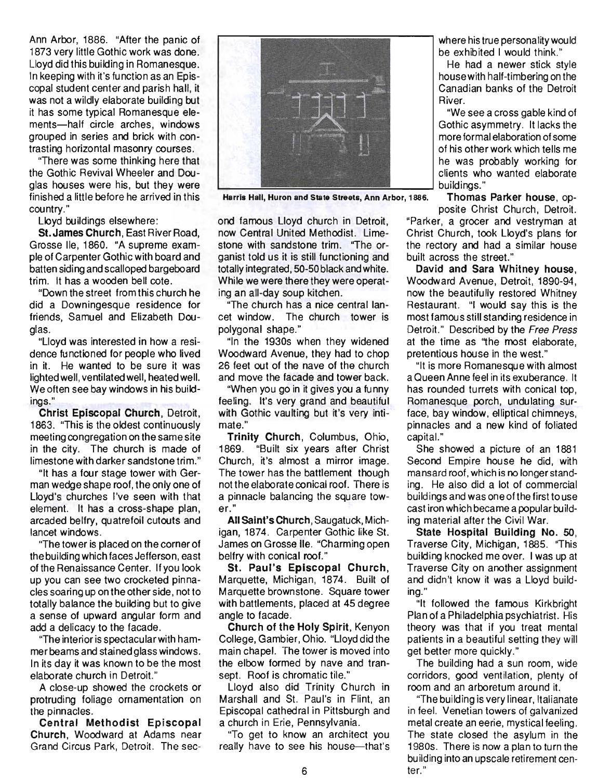Ann Arbor, 1886. "After the panic of 1873 very little Gothic work was done. Lloyd did this building in Romanesque. In keeping with it's function as an Episcopal student center and parish hall, it was not a wildly elaborate building but it has some typical Romanesque elements-half circle arches, windows grouped in series and brick with contrasting horizontal masonry courses.

"There was some thinking here that the Gothic Revival Wheeler and Douglas houses were his, but they were finished a little before he arrived in this country."

Lloyd buildings elsewhere:

St. James Church, East River Road, Grosse lie, 1860. "A supreme example of Carpenter Gothic with board and batten siding and scalloped bargeboard trim. It has a wooden bell cote.

"Down the street from this chu rch he did a Downingesque residence for friends, Samuel and Elizabeth Douglas.

"Lloyd was interested in how a residence functioned for people who lived in it. He wanted to be sure it was lighted well, ventilated well, heated well. We often see bay windows in his buildings."

Christ Episcopal Church, Detroit, 1863. "This is the oldest continuously meeting congregation on the same site in the city. The church is made of limestone with darker sandstone trim."

"It has a four stage tower with German wedge shape roof, the only one of Lloyd's churches I've seen with that element. It has a cross-shape plan, arcaded belfry, quatrefoil cutouts and lancet windows.

"The tower is placed on the corner of the building which faces Jefferson, east of the Renaissance Center. If you look up you can see two crocketed pinnacles soaring up on the other side, not to totally balance the building but to give a sense of upward angular form and add a delicacy to the facade.

"The interior is spectacular with hammer beams and stained glass windows. In its day it was known to be the most elaborate church in Detroit."

A close-up showed the crockets or protruding foliage ornamentation on the pinnacles.

Central Methodist Episcopal Church, Woodward at Adams near Grand Circus Park, Detroit. The sec-



Harris Hall, Huron and State Streets, Ann Arbor,1886. Thomas Parker house, op-

ond famous Lloyd church in Detroit, now Central United Methodist. limestone with sandstone trim. "The organist told us it is still functioning and totally integrated, 50-50 black and white. While we were there they were operating an all-day soup kitchen.

"The church has a nice central lancet window. The church tower is polygonal shape."

"In the 1930s when they widened Woodward Avenue, they had to chop 26 feet out of the nave of the church and move the facade and tower back.

"When you go in it gives you a funny feeling. It's very grand and beautiful with Gothic vaulting but it's very intimate."

Trinity Church, Columbus, Ohio, 1869. "Built six years after Christ Church, it's almost a mirror image. The tower has the battlement though not the elaborate conical roof. There is a pinnacle balancing the square tower."

All Saint's Church, Saugatuck, Michigan, 1874. Carpenter Gothic like St. James on Grosse lie. "Charming open belfry with conical roof."

St. Paul's Episcopal Church, Marquette, Michigan, 1874. Built of Marquette brownstone. Square tower with battlements, placed at 45 degree angle to facade.

Church of the Holy Spirit, Kenyon College, Gambier, Ohio. "Lloyd did the main chapel. The tower is moved into the elbow formed by nave and transept. Roof is chromatic tile."

Lloyd also did Trinity Church in Marshall and St. Paul's in Flint, an Episcopal cathedral in Pittsburgh and a church in Erie, Pennsylvania.

"To get to know an architect you really have to see his house-that's where his true personality would be exhibited I would think."

He had a newer stick style house with half-timbering on the Canadian banks of the Detroit River.

"We see a cross gable kind of Gothic asymmetry. It lacks the more formal elaboration of some of his other work which tells me he was probably working for clients who wanted elaborate<br>
buildings."

posite Christ Church, Detroit. "Parker, a grocer and vestryman at Christ Church, took Lloyd's plans for the rectory and had a similar house built across the street."

David and Sara Whitney house, Woodward Avenue, Detroit, 1890-94, now the beautifully restored Whitney Restaurant. "I would say this is the most famous still standing residence in Detroit." Described by the Free Press at the time as ''the most elaborate, pretentious house in the west."

"It is more Romanesque with almost a Queen Anne feel in its exuberance. It has rounded turrets with conical top, Romanesque porch, undulating surface, bay window, elliptical chimneys, pinnacles and a new kind of foliated capital."

She showed a picture of an 1881 Second Empire house he did, with mansard roof, which is no longer standing. He also did a lot of commercial buildings and was one of the first to use cast iron which became a popular building material after the Civil War.

State Hospital Building No. SO, Traverse City, Michigan, 1885. "This building knocked me over. I was up at Traverse City on another assignment and didn't know it was a Lloyd building."

"It followed the famous Kirkbright Plan of a Philadelphia psychiatrist. His theory was that if you treat mental patients in a beautiful setting they will get better more quickly."

The building had a sun room, wide corridors, good ventilation, plenty of room and an arboretum around it.

"The building is very linear, Italianate in feel. Venetian towers of galvanized metal create an eerie, mystical feeling. The state closed the asylum in the 1980s. There is now a plan to turn the building into an upscale retirement center."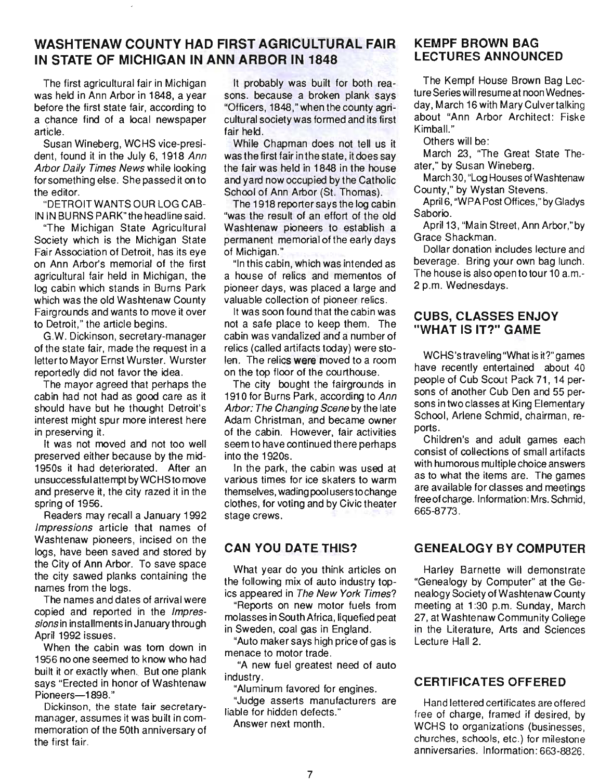# **WASHTENAW COUNTY HAD FIRST AGRICULTURAL FAIR IN STATE OF MICHIGAN IN ANN ARBOR IN 1848**

The first agricultural fair in Michigan was held in Ann Arbor in 1848, a year before the first state fair, according to a chance find of a local newspaper article.

Susan Wineberg, WCHS vice-president, found it in the July 6, 1918 Ann Arbor Daily Times News while looking for something else. She passed it on to the editor.

"DETROIT WANTS OUR LOG CAB-IN IN BURNS PARK" the headline said.

"The Michigan State Agricultural Society which is the Michigan State Fair Association of Detroit, has its eye on Ann Arbor's memorial of the first agricultural fair held in Michigan, the log cabin which stands in Burns Park which was the old Washtenaw County Fairgrounds and wants to move it over to Detroit," the article begins.

G.W. Dickinson, secretary-manager of the state fair, made the request in a letter to Mayor Ernst Wurster. Wurster reportedly did not favor the idea.

The mayor agreed that perhaps the cabin had not had as good care as it should have but he thought Detroit's interest might spur more interest here in preserving it.

It was not moved and not too well preserved either because by the mid-1950s it had deteriorated. After an unsuccessful attempt by WCHS to move and preserve it, the city razed it in the spring of 1956.

Readers may recall a January 1992 Impressions article that names of Washtenaw pioneers, incised on the logs, have been saved and stored by the City of Ann Arbor. To save space the city sawed planks containing the names from the logs.

The names and dates of arrival were copied and reported in the Impressions in installments in January through April 1992 issues.

When the cabin was torn down in 1956 no one seemed to know who had built it or exactly when. But one plank says "Erected in honor of Washtenaw Pioneers-1898."

Dickinson, the state fair secretarymanager, assumes it was built in commemoration of the 50th anniversary of the first fair.

It probably was built for both reasons. because a broken plank says "Officers, 1848," when the county agricultural society was formed and its first fair held.

While Chapman does not tell us it was the first fair inthe state, it does say the fair was held in 1848 in the house and yard now occupied by the Catholic School of Ann Arbor (St. Thomas).

The 1918 reporter says the log cabin "was the result of an effort of the old Washtenaw pioneers to establish a permanent memorial of the early days of Michigan."

"In this cabin, which was intended as a house of relics and mementos of pioneer days, was placed a large and valuable collection of pioneer relics.

It was soon found that the cabin was not a safe place to keep them. The cabin was vandalized and a number of relics (called artifacts today) were stolen. The relics were moved to a room on the top floor of the courthouse.

The city bought the fairgrounds in 1910 for Burns Park, according to Ann Arbor: The Changing Scene by the late Adam Christman, and became owner of the cabin. However, fair activities seem to have continued there perhaps into the 1920s.

In the park, the cabin was used at various times for ice skaters to warm themselves, wading pool users to change clothes, for voting and by Civic theater stage crews.

#### **CAN YOU DATE THIS?**

What year do you think articles on the following mix of auto industry topics appeared in The New York Times?

"Reports on new motor fuels from molasses in South Africa, liquefied peat in Sweden, coal gas in England.

"Auto maker says high price of gas is menace to motor trade.

"A new fuel greatest need of auto industry.

"Aluminum favored for engines.

"Judge asserts manufacturers are liable for hidden defects."

Answer next month.

# **KEMPF BROWN BAG LECTURES ANNOUNCED**

The Kempf House Brown Bag Lecture Series will resume at noon Wednesday, March 16 with Mary Culvertalking about "Ann Arbor Architect: Fiske Kimball<sup>"</sup>

Others will be:

March 23, "The Great State Theater," by Susan Wineberg.

March 30, "Log Houses ofWashtenaw County," by Wystan Stevens.

April 6, "WPA Post Offices," by Gladys Saborio.

April 13, "Main Street, Ann Arbor," by Grace Shackman.

Dollar donation includes lecture and beverage. Bring your own bag lunch. The house is also open to tour 10 a.m.-2 p.m. Wednesdays.

#### **CUBS, CLASSES ENJOY "WHAT IS IT?" GAME**

WCHS's traveling "What is it?" games have recently entertained about 40 people of Cub Scout Pack 71, 14 persons of another Cub Den and 55 persons in two classes at King Elementary School, Arlene Schmid, chairman, reports.

Children's and adult games each consist of collections of small artifacts with humorous multiple choice answers as to what the items are. The games are available for classes and meetings free of charge. Information: Mrs. Schmid, 665-8773.

# **GENEALOGY BY COMPUTER**

Harley Barnette will demonstrate "Genealogy by Computer" at the Genealogy Society of Washtenaw County meeting at 1:30 p.m. Sunday, March 27, at Washtenaw Community College in the Literature, Arts and Sciences Lecture Hall 2.

#### **CERTIFICATES OFFERED**

Hand lettered certificates are offered free of charge, framed if desired, by WCHS to organizations (businesses, churches, schools, etc.) for milestone anniversaries. Information: 663-8826.